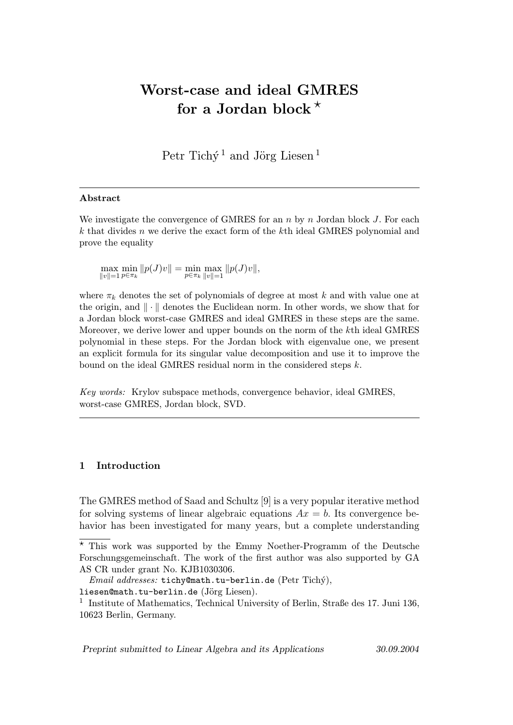# Worst-case and ideal GMRES for a Jordan block  $*$

Petr Tichý<sup>1</sup> and Jörg Liesen<sup>1</sup>

#### Abstract

We investigate the convergence of GMRES for an  $n$  by  $n$  Jordan block J. For each k that divides n we derive the exact form of the kth ideal GMRES polynomial and prove the equality

 $\max_{\|v\|=1} \min_{p \in \pi_k} \|p(J)v\| = \min_{p \in \pi_k} \max_{\|v\|=1} \|p(J)v\|,$ 

where  $\pi_k$  denotes the set of polynomials of degree at most k and with value one at the origin, and  $\|\cdot\|$  denotes the Euclidean norm. In other words, we show that for a Jordan block worst-case GMRES and ideal GMRES in these steps are the same. Moreover, we derive lower and upper bounds on the norm of the kth ideal GMRES polynomial in these steps. For the Jordan block with eigenvalue one, we present an explicit formula for its singular value decomposition and use it to improve the bound on the ideal GMRES residual norm in the considered steps k.

Key words: Krylov subspace methods, convergence behavior, ideal GMRES, worst-case GMRES, Jordan block, SVD.

## 1 Introduction

The GMRES method of Saad and Schultz [9] is a very popular iterative method for solving systems of linear algebraic equations  $Ax = b$ . Its convergence behavior has been investigated for many years, but a complete understanding

Preprint submitted to Linear Algebra and its Applications 30.09.2004

 $\overline{\star}$  This work was supported by the Emmy Noether-Programm of the Deutsche Forschungsgemeinschaft. The work of the first author was also supported by GA AS CR under grant No. KJB1030306.

 $Email \ addresses: \ \texttt{tichy@math.tu-berlin.de}$  (Petr Tichý),

liesen@math.tu-berlin.de (Jörg Liesen).

<sup>&</sup>lt;sup>1</sup> Institute of Mathematics, Technical University of Berlin, Straße des 17. Juni 136, 10623 Berlin, Germany.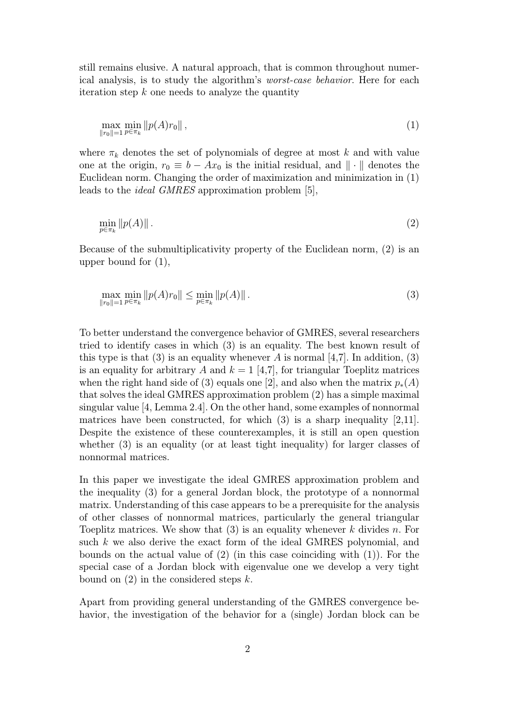still remains elusive. A natural approach, that is common throughout numerical analysis, is to study the algorithm's worst-case behavior. Here for each iteration step  $k$  one needs to analyze the quantity

$$
\max_{\|r_0\|=1} \min_{p \in \pi_k} \|p(A)r_0\| \,,\tag{1}
$$

where  $\pi_k$  denotes the set of polynomials of degree at most k and with value one at the origin,  $r_0 \equiv b - Ax_0$  is the initial residual, and  $\|\cdot\|$  denotes the Euclidean norm. Changing the order of maximization and minimization in (1) leads to the ideal GMRES approximation problem [5],

$$
\min_{p \in \pi_k} \|p(A)\| \,. \tag{2}
$$

Because of the submultiplicativity property of the Euclidean norm, (2) is an upper bound for (1),

$$
\max_{\|r_0\|=1} \min_{p \in \pi_k} \|p(A)r_0\| \le \min_{p \in \pi_k} \|p(A)\| \,. \tag{3}
$$

To better understand the convergence behavior of GMRES, several researchers tried to identify cases in which (3) is an equality. The best known result of this type is that (3) is an equality whenever A is normal [4,7]. In addition, (3) is an equality for arbitrary A and  $k = 1$  [4,7], for triangular Toeplitz matrices when the right hand side of (3) equals one [2], and also when the matrix  $p_*(A)$ that solves the ideal GMRES approximation problem (2) has a simple maximal singular value [4, Lemma 2.4]. On the other hand, some examples of nonnormal matrices have been constructed, for which (3) is a sharp inequality [2,11]. Despite the existence of these counterexamples, it is still an open question whether (3) is an equality (or at least tight inequality) for larger classes of nonnormal matrices.

In this paper we investigate the ideal GMRES approximation problem and the inequality (3) for a general Jordan block, the prototype of a nonnormal matrix. Understanding of this case appears to be a prerequisite for the analysis of other classes of nonnormal matrices, particularly the general triangular Toeplitz matrices. We show that  $(3)$  is an equality whenever k divides n. For such k we also derive the exact form of the ideal GMRES polynomial, and bounds on the actual value of (2) (in this case coinciding with (1)). For the special case of a Jordan block with eigenvalue one we develop a very tight bound on  $(2)$  in the considered steps k.

Apart from providing general understanding of the GMRES convergence behavior, the investigation of the behavior for a (single) Jordan block can be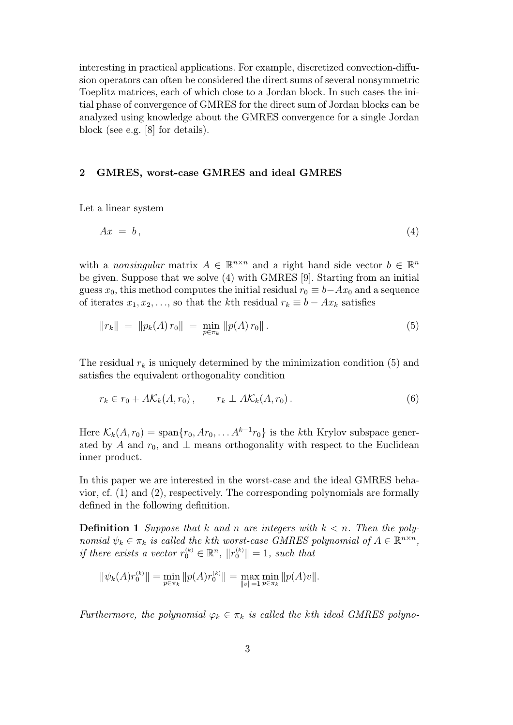interesting in practical applications. For example, discretized convection-diffusion operators can often be considered the direct sums of several nonsymmetric Toeplitz matrices, each of which close to a Jordan block. In such cases the initial phase of convergence of GMRES for the direct sum of Jordan blocks can be analyzed using knowledge about the GMRES convergence for a single Jordan block (see e.g. [8] for details).

#### 2 GMRES, worst-case GMRES and ideal GMRES

Let a linear system

$$
Ax = b,\tag{4}
$$

with a *nonsingular* matrix  $A \in \mathbb{R}^{n \times n}$  and a right hand side vector  $b \in \mathbb{R}^n$ be given. Suppose that we solve (4) with GMRES [9]. Starting from an initial guess  $x_0$ , this method computes the initial residual  $r_0 \equiv b - Ax_0$  and a sequence of iterates  $x_1, x_2, \ldots$ , so that the kth residual  $r_k \equiv b - Ax_k$  satisfies

$$
||r_k|| = ||p_k(A) r_0|| = \min_{p \in \pi_k} ||p(A) r_0||.
$$
 (5)

The residual  $r_k$  is uniquely determined by the minimization condition (5) and satisfies the equivalent orthogonality condition

$$
r_k \in r_0 + A\mathcal{K}_k(A, r_0), \qquad r_k \perp A\mathcal{K}_k(A, r_0). \tag{6}
$$

Here  $\mathcal{K}_k(A, r_0) = \text{span}\{r_0, Ar_0, \dots A^{k-1}r_0\}$  is the kth Krylov subspace generated by A and  $r_0$ , and  $\perp$  means orthogonality with respect to the Euclidean inner product.

In this paper we are interested in the worst-case and the ideal GMRES behavior, cf. (1) and (2), respectively. The corresponding polynomials are formally defined in the following definition.

**Definition 1** Suppose that k and n are integers with  $k < n$ . Then the polynomial  $\psi_k \in \pi_k$  is called the kth worst-case GMRES polynomial of  $A \in \mathbb{R}^{n \times n}$ , if there exists a vector  $r_0^{(k)} \in \mathbb{R}^n$ ,  $||r_0^{(k)}|| = 1$ , such that

$$
\|\psi_k(A)r_0^{(k)}\| = \min_{p \in \pi_k} \|p(A)r_0^{(k)}\| = \max_{\|v\|=1} \min_{p \in \pi_k} \|p(A)v\|.
$$

Furthermore, the polynomial  $\varphi_k \in \pi_k$  is called the kth ideal GMRES polyno-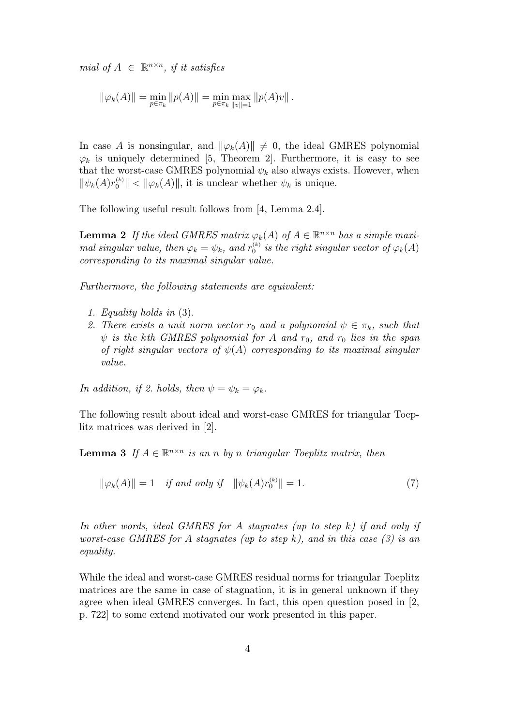mial of  $A \in \mathbb{R}^{n \times n}$ , if it satisfies

$$
\|\varphi_k(A)\| = \min_{p \in \pi_k} \|p(A)\| = \min_{p \in \pi_k} \max_{\|v\|=1} \|p(A)v\|.
$$

In case A is nonsingular, and  $\|\varphi_k(A)\| \neq 0$ , the ideal GMRES polynomial  $\varphi_k$  is uniquely determined [5, Theorem 2]. Furthermore, it is easy to see that the worst-case GMRES polynomial  $\psi_k$  also always exists. However, when  $\|\psi_k(A)r_0^{(k)}\| < \|\varphi_k(A)\|$ , it is unclear whether  $\psi_k$  is unique.

The following useful result follows from [4, Lemma 2.4].

**Lemma 2** If the ideal GMRES matrix  $\varphi_k(A)$  of  $A \in \mathbb{R}^{n \times n}$  has a simple maximal singular value, then  $\varphi_k = \psi_k$ , and  $r_0^{(k)}$  is the right singular vector of  $\varphi_k(A)$ corresponding to its maximal singular value.

Furthermore, the following statements are equivalent:

- 1. Equality holds in (3).
- 2. There exists a unit norm vector  $r_0$  and a polynomial  $\psi \in \pi_k$ , such that  $\psi$  is the kth GMRES polynomial for A and  $r_0$ , and  $r_0$  lies in the span of right singular vectors of  $\psi(A)$  corresponding to its maximal singular value.

In addition, if 2. holds, then  $\psi = \psi_k = \varphi_k$ .

The following result about ideal and worst-case GMRES for triangular Toeplitz matrices was derived in [2].

**Lemma 3** If  $A \in \mathbb{R}^{n \times n}$  is an n by n triangular Toeplitz matrix, then

$$
\|\varphi_k(A)\| = 1 \quad \text{if and only if} \quad \|\psi_k(A)r_0^{(k)}\| = 1. \tag{7}
$$

In other words, ideal GMRES for A stagnates (up to step  $k$ ) if and only if worst-case GMRES for A stagnates (up to step k), and in this case  $(3)$  is an equality.

While the ideal and worst-case GMRES residual norms for triangular Toeplitz matrices are the same in case of stagnation, it is in general unknown if they agree when ideal GMRES converges. In fact, this open question posed in [2, p. 722] to some extend motivated our work presented in this paper.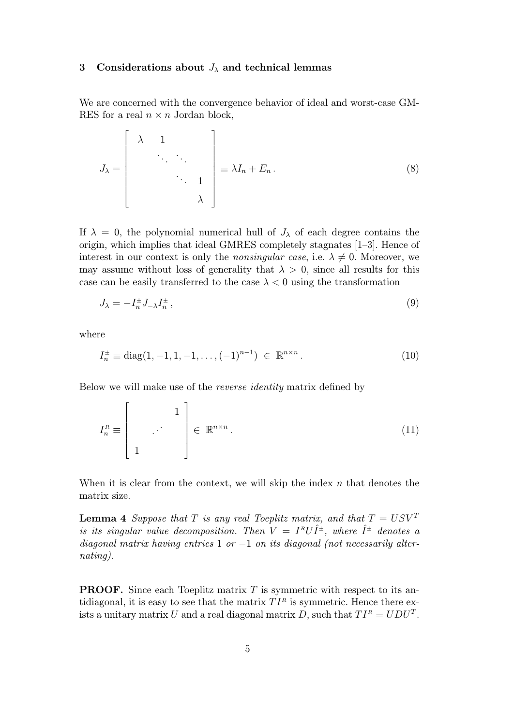#### 3 Considerations about  $J_{\lambda}$  and technical lemmas

We are concerned with the convergence behavior of ideal and worst-case GM-RES for a real  $n \times n$  Jordan block,

$$
J_{\lambda} = \begin{bmatrix} \lambda & 1 & & \\ & \ddots & \ddots & \\ & & \ddots & 1 \\ & & & \lambda \end{bmatrix} \equiv \lambda I_n + E_n.
$$
 (8)

If  $\lambda = 0$ , the polynomial numerical hull of  $J_{\lambda}$  of each degree contains the origin, which implies that ideal GMRES completely stagnates [1–3]. Hence of interest in our context is only the *nonsingular case*, i.e.  $\lambda \neq 0$ . Moreover, we may assume without loss of generality that  $\lambda > 0$ , since all results for this case can be easily transferred to the case  $\lambda < 0$  using the transformation

$$
J_{\lambda} = -I_n^{\pm} J_{-\lambda} I_n^{\pm} , \qquad (9)
$$

where

$$
I_n^{\pm} \equiv \text{diag}(1, -1, 1, -1, \dots, (-1)^{n-1}) \in \mathbb{R}^{n \times n}.
$$
 (10)

Below we will make use of the reverse identity matrix defined by

$$
I_n^R \equiv \left[ \begin{array}{c} 1 \\ \vdots \\ 1 \end{array} \right] \in \mathbb{R}^{n \times n} . \tag{11}
$$

When it is clear from the context, we will skip the index  $n$  that denotes the matrix size.

**Lemma 4** Suppose that T is any real Toeplitz matrix, and that  $T = USV^T$ is its singular value decomposition. Then  $V = I^R U \hat{I}^{\pm}$ , where  $\hat{I}^{\pm}$  denotes a diagonal matrix having entries 1 or  $-1$  on its diagonal (not necessarily alternating).

**PROOF.** Since each Toeplitz matrix  $T$  is symmetric with respect to its antidiagonal, it is easy to see that the matrix  $TI^R$  is symmetric. Hence there exists a unitary matrix U and a real diagonal matrix D, such that  $TI^R = UDU^T$ .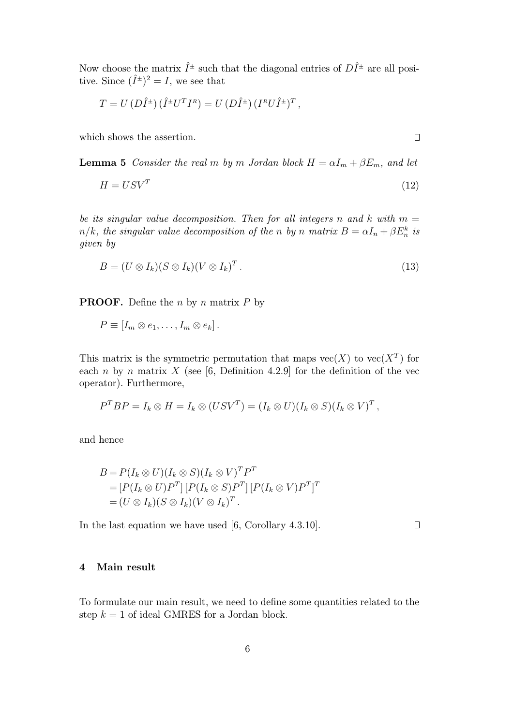Now choose the matrix  $\hat{I}^{\pm}$  such that the diagonal entries of  $D\hat{I}^{\pm}$  are all positive. Since  $({\hat{I}}^{\pm})^2 = I$ , we see that

$$
T = U (D\hat{I}^{\pm}) (\hat{I}^{\pm} U^T I^R) = U (D\hat{I}^{\pm}) (I^R U \hat{I}^{\pm})^T,
$$

which shows the assertion.

**Lemma 5** Consider the real m by m Jordan block  $H = \alpha I_m + \beta E_m$ , and let

$$
H = USV^T \tag{12}
$$

be its singular value decomposition. Then for all integers n and k with  $m =$  $n/k$ , the singular value decomposition of the n by n matrix  $B = \alpha I_n + \beta E_n^k$  is given by

$$
B = (U \otimes I_k)(S \otimes I_k)(V \otimes I_k)^T.
$$
\n(13)

**PROOF.** Define the *n* by *n* matrix  $P$  by

$$
P \equiv [I_m \otimes e_1, \ldots, I_m \otimes e_k].
$$

This matrix is the symmetric permutation that maps  $vec(X)$  to  $vec(X^T)$  for each n by n matrix X (see [6, Definition 4.2.9] for the definition of the vec operator). Furthermore,

$$
P^T B P = I_k \otimes H = I_k \otimes (USV^T) = (I_k \otimes U)(I_k \otimes S)(I_k \otimes V)^T,
$$

and hence

$$
B = P(I_k \otimes U)(I_k \otimes S)(I_k \otimes V)^T P^T
$$
  
= 
$$
[P(I_k \otimes U)P^T] [P(I_k \otimes S)P^T] [P(I_k \otimes V)P^T]^T
$$
  
= 
$$
(U \otimes I_k)(S \otimes I_k)(V \otimes I_k)^T.
$$

In the last equation we have used [6, Corollary 4.3.10].

 $\Box$ 

# 4 Main result

To formulate our main result, we need to define some quantities related to the step  $k = 1$  of ideal GMRES for a Jordan block.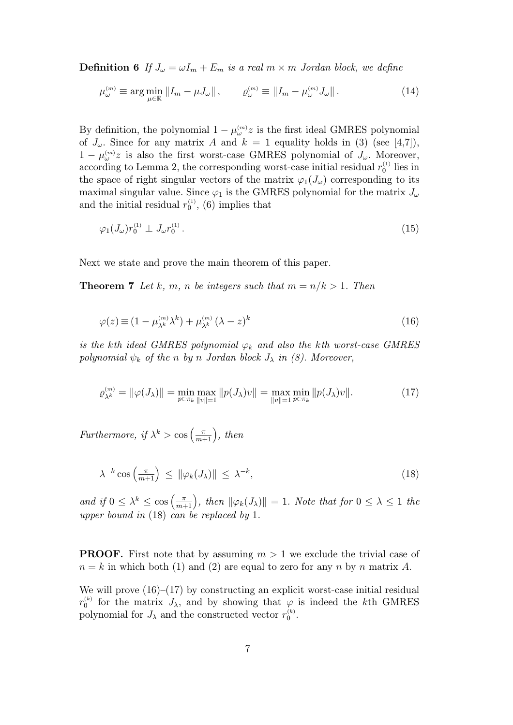**Definition 6** If  $J_{\omega} = \omega I_m + E_m$  is a real  $m \times m$  Jordan block, we define

$$
\mu_{\omega}^{(m)} \equiv \arg \min_{\mu \in \mathbb{R}} \left\| I_m - \mu J_{\omega} \right\|, \qquad \varrho_{\omega}^{(m)} \equiv \left\| I_m - \mu_{\omega}^{(m)} J_{\omega} \right\|.
$$
 (14)

By definition, the polynomial  $1 - \mu_{\omega}^{(m)} z$  is the first ideal GMRES polynomial of  $J_{\omega}$ . Since for any matrix A and  $k = 1$  equality holds in (3) (see [4,7]),  $1 - \mu_{\omega}^{(m)} z$  is also the first worst-case GMRES polynomial of  $J_{\omega}$ . Moreover, according to Lemma 2, the corresponding worst-case initial residual  $r_0^{(1)}$  lies in the space of right singular vectors of the matrix  $\varphi_1(J_\omega)$  corresponding to its maximal singular value. Since  $\varphi_1$  is the GMRES polynomial for the matrix  $J_{\omega}$ and the initial residual  $r_0^{(1)}$ , (6) implies that

$$
\varphi_1(J_\omega)r_0^{(1)} \perp J_\omega r_0^{(1)}.
$$
\n(15)

Next we state and prove the main theorem of this paper.

**Theorem 7** Let k, m, n be integers such that  $m = n/k > 1$ . Then

$$
\varphi(z) \equiv (1 - \mu_{\lambda^k}^{(m)} \lambda^k) + \mu_{\lambda^k}^{(m)} (\lambda - z)^k \tag{16}
$$

is the kth ideal GMRES polynomial  $\varphi_k$  and also the kth worst-case GMRES polynomial  $\psi_k$  of the n by n Jordan block  $J_\lambda$  in (8). Moreover,

$$
\varrho_{\lambda^k}^{(m)} = \|\varphi(J_\lambda)\| = \min_{p \in \pi_k} \max_{\|v\| = 1} \|p(J_\lambda)v\| = \max_{\|v\| = 1} \min_{p \in \pi_k} \|p(J_\lambda)v\|.
$$
 (17)

Furthermore, if  $\lambda^k > \cos\left(\frac{\pi}{m}\right)$  $\left(\frac{\pi}{m+1}\right)$ , then

$$
\lambda^{-k}\cos\left(\frac{\pi}{m+1}\right) \leq \|\varphi_k(J_\lambda)\| \leq \lambda^{-k},\tag{18}
$$

and if  $0 \leq \lambda^k \leq \cos\left(\frac{\pi}{m+1}\right)$  $\left(\frac{\pi}{m+1}\right)$ , then  $\|\varphi_k(J_\lambda)\|=1$ . Note that for  $0 \leq \lambda \leq 1$  the upper bound in (18) can be replaced by 1.

**PROOF.** First note that by assuming  $m > 1$  we exclude the trivial case of  $n = k$  in which both (1) and (2) are equal to zero for any n by n matrix A.

We will prove  $(16)$ – $(17)$  by constructing an explicit worst-case initial residual  $r_0^{(k)}$  for the matrix  $J_\lambda$ , and by showing that  $\varphi$  is indeed the kth GMRES polynomial for  $J_{\lambda}$  and the constructed vector  $r_0^{(k)}$ .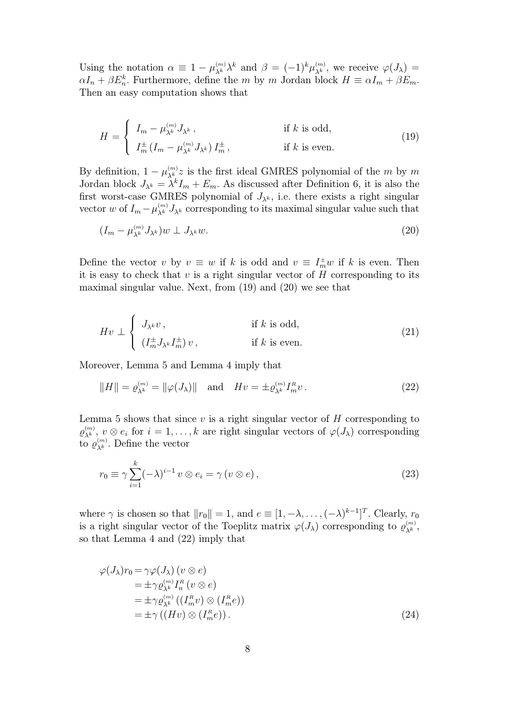Using the notation  $\alpha \equiv 1 - \mu_{\lambda^k}^{(m)} \lambda^k$  and  $\beta = (-1)^k \mu_{\lambda^k}^{(m)}$ , we receive  $\varphi(J_\lambda) =$  $\alpha I_n + \beta E_n^k$ . Furthermore, define the m by m Jordan block  $H \equiv \alpha I_m + \beta E_m$ . Then an easy computation shows that

$$
H = \begin{cases} I_m - \mu_{\lambda^k}^{(m)} J_{\lambda^k}, & \text{if } k \text{ is odd,} \\ I_m^{\pm} (I_m - \mu_{\lambda^k}^{(m)} J_{\lambda^k}) I_m^{\pm}, & \text{if } k \text{ is even.} \end{cases}
$$
(19)

By definition,  $1 - \mu_{\lambda^k}^{(m)} z$  is the first ideal GMRES polynomial of the m by m Jordan block  $J_{\lambda^k} = \lambda^k I_m + E_m$ . As discussed after Definition 6, it is also the first worst-case GMRES polynomial of  $J_{\lambda^k}$ , i.e. there exists a right singular vector w of  $I_m - \mu_{\lambda^k}^{(m)} J_{\lambda^k}$  corresponding to its maximal singular value such that

$$
(I_m - \mu_{\lambda^k}^{(m)} J_{\lambda^k}) w \perp J_{\lambda^k} w. \tag{20}
$$

Define the vector v by  $v \equiv w$  if k is odd and  $v \equiv I_m^{\pm}w$  if k is even. Then it is easy to check that v is a right singular vector of  $H$  corresponding to its maximal singular value. Next, from (19) and (20) we see that

$$
Hv \perp \begin{cases} J_{\lambda^k}v, & \text{if } k \text{ is odd,} \\ (I_m^{\pm}J_{\lambda^k}I_m^{\pm})v, & \text{if } k \text{ is even.} \end{cases}
$$
 (21)

Moreover, Lemma 5 and Lemma 4 imply that

$$
||H|| = \varrho_{\lambda^k}^{(m)} = ||\varphi(J_\lambda)|| \text{ and } Hv = \pm \varrho_{\lambda^k}^{(m)} I_m^R v. \tag{22}
$$

Lemma 5 shows that since  $v$  is a right singular vector of  $H$  corresponding to  $\varrho_{\lambda^k}^{(m)}$ ,  $v \otimes e_i$  for  $i = 1, ..., k$  are right singular vectors of  $\varphi(J_\lambda)$  corresponding to  $\varrho_{\lambda^k}^{(m)}$ . Define the vector

$$
r_0 \equiv \gamma \sum_{i=1}^k (-\lambda)^{i-1} v \otimes e_i = \gamma (v \otimes e), \qquad (23)
$$

where  $\gamma$  is chosen so that  $||r_0|| = 1$ , and  $e \equiv [1, -\lambda, \ldots, (-\lambda)^{k-1}]^T$ . Clearly,  $r_0$ is a right singular vector of the Toeplitz matrix  $\varphi(J_\lambda)$  corresponding to  $\varrho_{\lambda^k}^{(m)}$ , so that Lemma 4 and (22) imply that

$$
\varphi(J_{\lambda})r_0 = \gamma \varphi(J_{\lambda}) \ (v \otimes e)
$$
  
=  $\pm \gamma \varrho_{\lambda^k}^{(m)} I_n^R \ (v \otimes e)$   
=  $\pm \gamma \varrho_{\lambda^k}^{(m)} \ ((I_m^R v) \otimes (I_m^R e))$   
=  $\pm \gamma \ ((Hv) \otimes (I_m^R e))$ . (24)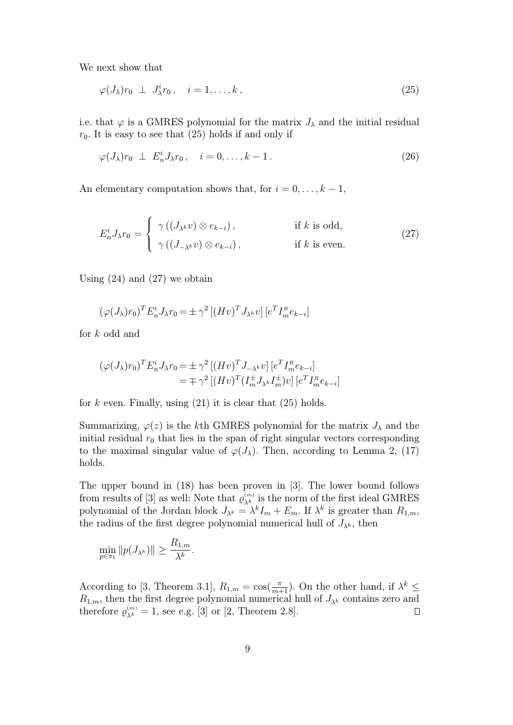We next show that

$$
\varphi(J_{\lambda})r_0 \perp J_{\lambda}^i r_0, \quad i = 1, \dots, k, \tag{25}
$$

i.e. that  $\varphi$  is a GMRES polynomial for the matrix  $J_{\lambda}$  and the initial residual  $r_0$ . It is easy to see that  $(25)$  holds if and only if

$$
\varphi(J_{\lambda})r_0 \perp E_n^i J_{\lambda}r_0, \quad i = 0, \dots, k - 1. \tag{26}
$$

An elementary computation shows that, for  $i = 0, \ldots, k - 1$ ,

$$
E_n^i J_\lambda r_0 = \begin{cases} \gamma((J_{\lambda^k} v) \otimes e_{k-i}), & \text{if } k \text{ is odd,} \\ \gamma((J_{-\lambda^k} v) \otimes e_{k-i}), & \text{if } k \text{ is even.} \end{cases}
$$
 (27)

Using  $(24)$  and  $(27)$  we obtain

$$
(\varphi(J_{\lambda})r_0)^T E_n^i J_{\lambda} r_0 = \pm \gamma^2 \left[ (Hv)^T J_{\lambda^k} v \right] \left[ e^T I_m^R e_{k-i} \right]
$$

for k odd and

$$
\begin{aligned} \left(\varphi(J_{\lambda})r_{0}\right)^{T} E_{n}^{i} J_{\lambda} r_{0} &= \pm \gamma^{2} \left[ \left(Hv\right)^{T} J_{-\lambda^{k}} v \right] \left[e^{T} I_{m}^{R} e_{k-i}\right] \\ &= \mp \gamma^{2} \left[ \left(Hv\right)^{T} \left(I_{m}^{\pm} J_{\lambda^{k}} I_{m}^{\pm} \right) v \right] \left[e^{T} I_{m}^{R} e_{k-i}\right] \end{aligned}
$$

for k even. Finally, using  $(21)$  it is clear that  $(25)$  holds.

Summarizing,  $\varphi(z)$  is the kth GMRES polynomial for the matrix  $J_{\lambda}$  and the initial residual  $r_0$  that lies in the span of right singular vectors corresponding to the maximal singular value of  $\varphi(J_\lambda)$ . Then, according to Lemma 2, (17) holds.

The upper bound in (18) has been proven in [3]. The lower bound follows from results of [3] as well: Note that  $\varrho_{\lambda^k}^{(m)}$  is the norm of the first ideal GMRES polynomial of the Jordan block  $J_{\lambda^k} = \lambda^k I_m + E_m$ . If  $\lambda^k$  is greater than  $R_{1,m}$ , the radius of the first degree polynomial numerical hull of  $J_{\lambda^k}$ , then

$$
\min_{p \in \pi_1} \|p(J_{\lambda^k})\| \ge \frac{R_{1,m}}{\lambda^k}.
$$

According to [3, Theorem 3.1],  $R_{1,m} = \cos(\frac{\pi}{m+1})$ . On the other hand, if  $\lambda^k \leq$  $R_{1,m}$ , then the first degree polynomial numerical hull of  $J_{\lambda^k}$  contains zero and therefore  $\varrho_{\lambda^k}^{(m)} = 1$ , see e.g. [3] or [2, Theorem 2.8]. Ω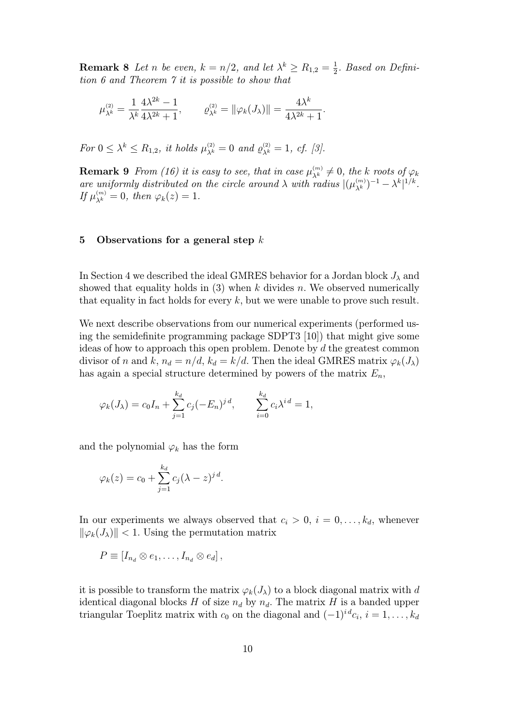**Remark 8** Let n be even,  $k = n/2$ , and let  $\lambda^k \ge R_{1,2} = \frac{1}{2}$  $\frac{1}{2}$ . Based on Definition 6 and Theorem 7 it is possible to show that

$$
\mu_{\lambda^k}^{(2)} = \frac{1}{\lambda^k} \frac{4\lambda^{2k} - 1}{4\lambda^{2k} + 1}, \qquad \varrho_{\lambda^k}^{(2)} = \|\varphi_k(J_\lambda)\| = \frac{4\lambda^k}{4\lambda^{2k} + 1}.
$$

For  $0 \leq \lambda^k \leq R_{1,2}$ , it holds  $\mu_{\lambda^k}^{(2)} = 0$  and  $\varrho_{\lambda^k}^{(2)} = 1$ , cf. [3].

**Remark 9** From (16) it is easy to see, that in case  $\mu_{\lambda^k}^{(m)} \neq 0$ , the k roots of  $\varphi_k$ are uniformly distributed on the circle around  $\lambda$  with radius  $|(\mu_{\lambda^k}^{(m)})^{-1} - \lambda^k|^{1/k}$ . If  $\mu_{\lambda^k}^{(m)} = 0$ , then  $\varphi_k(z) = 1$ .

## 5 Observations for a general step  $k$

In Section 4 we described the ideal GMRES behavior for a Jordan block  $J_{\lambda}$  and showed that equality holds in  $(3)$  when k divides n. We observed numerically that equality in fact holds for every  $k$ , but we were unable to prove such result.

We next describe observations from our numerical experiments (performed using the semidefinite programming package SDPT3 [10]) that might give some ideas of how to approach this open problem. Denote by d the greatest common divisor of n and k,  $n_d = n/d$ ,  $k_d = k/d$ . Then the ideal GMRES matrix  $\varphi_k(J_\lambda)$ has again a special structure determined by powers of the matrix  $E_n$ ,

$$
\varphi_k(J_\lambda) = c_0 I_n + \sum_{j=1}^{k_d} c_j (-E_n)^{j d}, \qquad \sum_{i=0}^{k_d} c_i \lambda^{i d} = 1,
$$

and the polynomial  $\varphi_k$  has the form

$$
\varphi_k(z) = c_0 + \sum_{j=1}^{k_d} c_j (\lambda - z)^{j d}.
$$

In our experiments we always observed that  $c_i > 0$ ,  $i = 0, \ldots, k_d$ , whenever  $\|\varphi_k(J_\lambda)\|$  < 1. Using the permutation matrix

$$
P \equiv [I_{n_d} \otimes e_1, \ldots, I_{n_d} \otimes e_d],
$$

it is possible to transform the matrix  $\varphi_k(J_\lambda)$  to a block diagonal matrix with d identical diagonal blocks H of size  $n_d$  by  $n_d$ . The matrix H is a banded upper triangular Toeplitz matrix with  $c_0$  on the diagonal and  $(-1)^{i d} c_i$ ,  $i = 1, \ldots, k_d$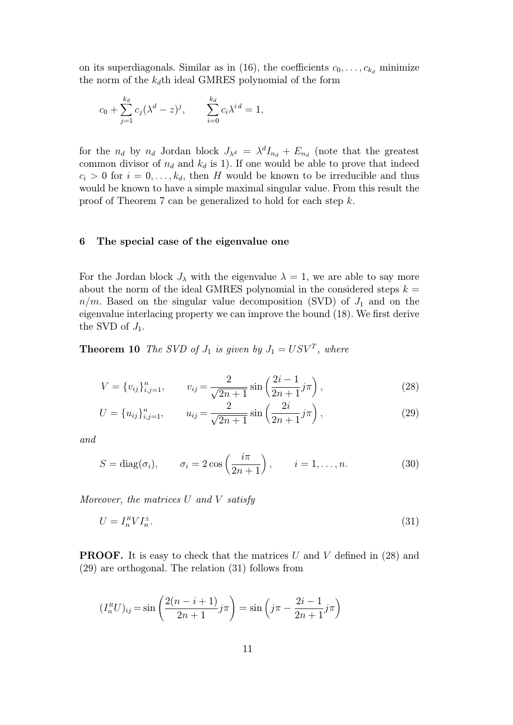on its superdiagonals. Similar as in (16), the coefficients  $c_0, \ldots, c_{k_d}$  minimize the norm of the  $k_d$ th ideal GMRES polynomial of the form

$$
c_0 + \sum_{j=1}^{k_d} c_j (\lambda^d - z)^j
$$
,  $\sum_{i=0}^{k_d} c_i \lambda^{i d} = 1$ ,

for the  $n_d$  by  $n_d$  Jordan block  $J_{\lambda^d} = \lambda^d I_{n_d} + E_{n_d}$  (note that the greatest common divisor of  $n_d$  and  $k_d$  is 1). If one would be able to prove that indeed  $c_i > 0$  for  $i = 0, \ldots, k_d$ , then H would be known to be irreducible and thus would be known to have a simple maximal singular value. From this result the proof of Theorem 7 can be generalized to hold for each step k.

#### 6 The special case of the eigenvalue one

For the Jordan block  $J_{\lambda}$  with the eigenvalue  $\lambda = 1$ , we are able to say more about the norm of the ideal GMRES polynomial in the considered steps  $k =$  $n/m$ . Based on the singular value decomposition (SVD) of  $J_1$  and on the eigenvalue interlacing property we can improve the bound (18). We first derive the SVD of  $J_1$ .

**Theorem 10** The SVD of  $J_1$  is given by  $J_1 = USV^T$ , where

$$
V = \{v_{ij}\}_{i,j=1}^n, \qquad v_{ij} = \frac{2}{\sqrt{2n+1}} \sin\left(\frac{2i-1}{2n+1}j\pi\right),\tag{28}
$$

$$
U = \{u_{ij}\}_{i,j=1}^n, \qquad u_{ij} = \frac{2}{\sqrt{2n+1}} \sin\left(\frac{2i}{2n+1}j\pi\right),\tag{29}
$$

and

$$
S = \text{diag}(\sigma_i), \qquad \sigma_i = 2\cos\left(\frac{i\pi}{2n+1}\right), \qquad i = 1, \dots, n. \tag{30}
$$

Moreover, the matrices  $U$  and  $V$  satisfy

$$
U = I_n^R V I_n^{\pm}.
$$
\n<sup>(31)</sup>

**PROOF.** It is easy to check that the matrices U and V defined in  $(28)$  and (29) are orthogonal. The relation (31) follows from

$$
(I_n^R U)_{ij} = \sin\left(\frac{2(n-i+1)}{2n+1}j\pi\right) = \sin\left(j\pi - \frac{2i-1}{2n+1}j\pi\right)
$$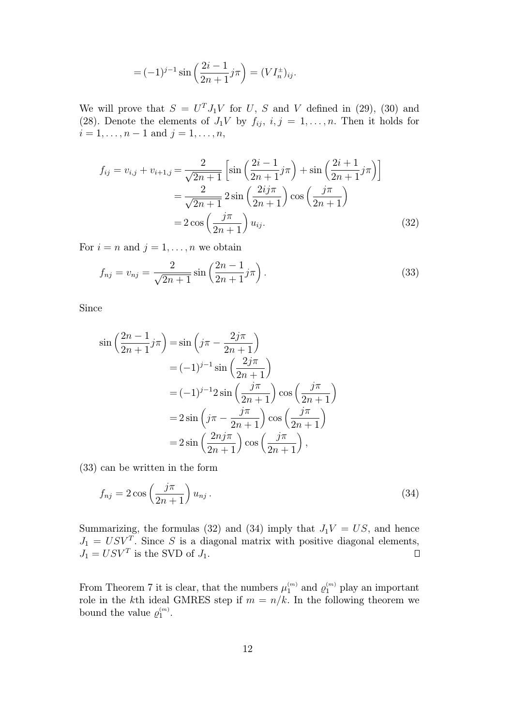$$
=(-1)^{j-1}\sin\left(\frac{2i-1}{2n+1}j\pi\right)=(VI_n^{\pm})_{ij}.
$$

We will prove that  $S = U<sup>T</sup> J<sub>1</sub>V$  for U, S and V defined in (29), (30) and (28). Denote the elements of  $J_1V$  by  $f_{ij}$ ,  $i, j = 1, \ldots, n$ . Then it holds for  $i = 1, \ldots, n - 1$  and  $j = 1, \ldots, n$ ,

$$
f_{ij} = v_{i,j} + v_{i+1,j} = \frac{2}{\sqrt{2n+1}} \left[ \sin\left(\frac{2i-1}{2n+1}j\pi\right) + \sin\left(\frac{2i+1}{2n+1}j\pi\right) \right]
$$
  
=  $\frac{2}{\sqrt{2n+1}} 2 \sin\left(\frac{2ij\pi}{2n+1}\right) \cos\left(\frac{j\pi}{2n+1}\right)$   
=  $2 \cos\left(\frac{j\pi}{2n+1}\right) u_{ij}.$  (32)

For  $i = n$  and  $j = 1, \ldots, n$  we obtain

$$
f_{nj} = v_{nj} = \frac{2}{\sqrt{2n+1}} \sin\left(\frac{2n-1}{2n+1}j\pi\right).
$$
 (33)

Since

$$
\sin\left(\frac{2n-1}{2n+1}j\pi\right) = \sin\left(j\pi - \frac{2j\pi}{2n+1}\right)
$$
  

$$
= (-1)^{j-1}\sin\left(\frac{2j\pi}{2n+1}\right)
$$
  

$$
= (-1)^{j-1}2\sin\left(\frac{j\pi}{2n+1}\right)\cos\left(\frac{j\pi}{2n+1}\right)
$$
  

$$
= 2\sin\left(j\pi - \frac{j\pi}{2n+1}\right)\cos\left(\frac{j\pi}{2n+1}\right)
$$
  

$$
= 2\sin\left(\frac{2nj\pi}{2n+1}\right)\cos\left(\frac{j\pi}{2n+1}\right),
$$

(33) can be written in the form

$$
f_{nj} = 2\cos\left(\frac{j\pi}{2n+1}\right)u_{nj}.
$$
\n(34)

Summarizing, the formulas (32) and (34) imply that  $J_1V = US$ , and hence  $J_1 = USV^T$ . Since S is a diagonal matrix with positive diagonal elements,  $J_1 = USV^T$  is the SVD of  $J_1$ .  $\Box$ 

From Theorem 7 it is clear, that the numbers  $\mu_1^{(m)}$  and  $\varrho_1^{(m)}$  play an important role in the kth ideal GMRES step if  $m = n/k$ . In the following theorem we bound the value  $\varrho_1^{(m)}$ .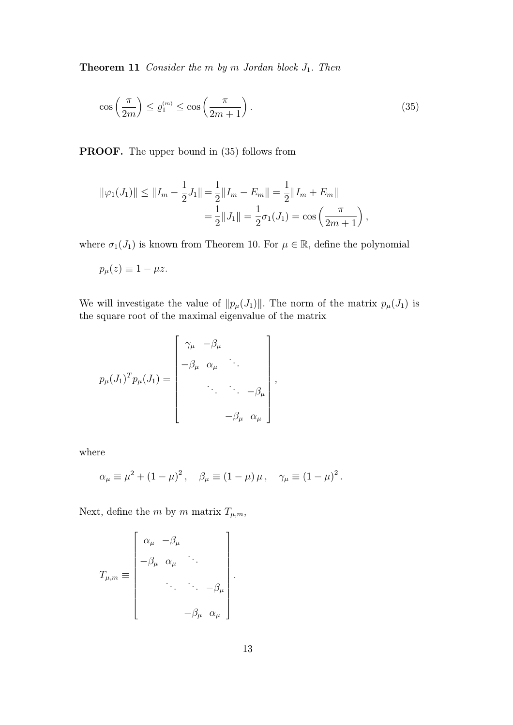**Theorem 11** Consider the  $m$  by  $m$  Jordan block  $J_1$ . Then

$$
\cos\left(\frac{\pi}{2m}\right) \le \varrho_1^{(m)} \le \cos\left(\frac{\pi}{2m+1}\right). \tag{35}
$$

PROOF. The upper bound in (35) follows from

$$
\|\varphi_1(J_1)\| \le \|I_m - \frac{1}{2}J_1\| = \frac{1}{2} \|I_m - E_m\| = \frac{1}{2} \|I_m + E_m\|
$$
  
=  $\frac{1}{2} \|J_1\| = \frac{1}{2}\sigma_1(J_1) = \cos\left(\frac{\pi}{2m+1}\right),$ 

where  $\sigma_1(J_1)$  is known from Theorem 10. For  $\mu \in \mathbb{R}$ , define the polynomial

$$
p_{\mu}(z) \equiv 1 - \mu z.
$$

We will investigate the value of  $||p_{\mu}(J_1)||$ . The norm of the matrix  $p_{\mu}(J_1)$  is the square root of the maximal eigenvalue of the matrix

$$
p_{\mu}(J_1)^T p_{\mu}(J_1) = \begin{bmatrix} \gamma_{\mu} & -\beta_{\mu} & & \\ -\beta_{\mu} & \alpha_{\mu} & \cdots & \\ & \ddots & \ddots & -\beta_{\mu} \\ & & & -\beta_{\mu} & \alpha_{\mu} \end{bmatrix},
$$

where

$$
\alpha_{\mu} \equiv \mu^2 + (1 - \mu)^2, \quad \beta_{\mu} \equiv (1 - \mu) \mu, \quad \gamma_{\mu} \equiv (1 - \mu)^2.
$$

Next, define the m by m matrix  $T_{\mu,m}$ ,

$$
T_{\mu,m} \equiv \begin{bmatrix} \alpha_{\mu} & -\beta_{\mu} & & \\ -\beta_{\mu} & \alpha_{\mu} & \cdots & \\ & \ddots & \ddots & -\beta_{\mu} \\ & & & -\beta_{\mu} & \alpha_{\mu} \end{bmatrix}.
$$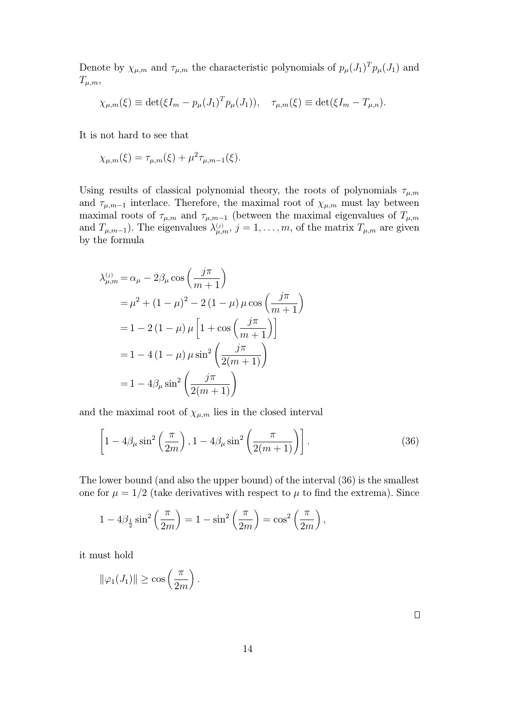Denote by  $\chi_{\mu,m}$  and  $\tau_{\mu,m}$  the characteristic polynomials of  $p_{\mu}(J_1)^T p_{\mu}(J_1)$  and  $T_{\mu,m},$ 

$$
\chi_{\mu,m}(\xi) \equiv \det(\xi I_m - p_\mu (J_1)^T p_\mu (J_1)), \quad \tau_{\mu,m}(\xi) \equiv \det(\xi I_m - T_{\mu,n}).
$$

It is not hard to see that

$$
\chi_{\mu,m}(\xi) = \tau_{\mu,m}(\xi) + \mu^2 \tau_{\mu,m-1}(\xi).
$$

Using results of classical polynomial theory, the roots of polynomials  $\tau_{\mu,m}$ and  $\tau_{\mu,m-1}$  interlace. Therefore, the maximal root of  $\chi_{\mu,m}$  must lay between maximal roots of  $\tau_{\mu,m}$  and  $\tau_{\mu,m-1}$  (between the maximal eigenvalues of  $T_{\mu,m}$ and  $T_{\mu,m-1}$ ). The eigenvalues  $\lambda_{\mu,m}^{(j)}$ ,  $j=1,\ldots,m$ , of the matrix  $T_{\mu,m}$  are given by the formula

$$
\lambda_{\mu,m}^{(j)} = \alpha_{\mu} - 2\beta_{\mu}\cos\left(\frac{j\pi}{m+1}\right)
$$
  
=  $\mu^2 + (1-\mu)^2 - 2(1-\mu)\mu\cos\left(\frac{j\pi}{m+1}\right)$   
=  $1 - 2(1-\mu)\mu\left[1 + \cos\left(\frac{j\pi}{m+1}\right)\right]$   
=  $1 - 4(1-\mu)\mu\sin^2\left(\frac{j\pi}{2(m+1)}\right)$   
=  $1 - 4\beta_{\mu}\sin^2\left(\frac{j\pi}{2(m+1)}\right)$ 

and the maximal root of  $\chi_{\mu,m}$  lies in the closed interval

$$
\left[1 - 4\beta_{\mu}\sin^2\left(\frac{\pi}{2m}\right), 1 - 4\beta_{\mu}\sin^2\left(\frac{\pi}{2(m+1)}\right)\right].
$$
 (36)

The lower bound (and also the upper bound) of the interval (36) is the smallest one for  $\mu = 1/2$  (take derivatives with respect to  $\mu$  to find the extrema). Since

$$
1 - 4\beta_{\frac{1}{2}}\sin^2\left(\frac{\pi}{2m}\right) = 1 - \sin^2\left(\frac{\pi}{2m}\right) = \cos^2\left(\frac{\pi}{2m}\right),
$$

it must hold

$$
\|\varphi_1(J_1)\| \ge \cos\left(\frac{\pi}{2m}\right).
$$

 $\Box$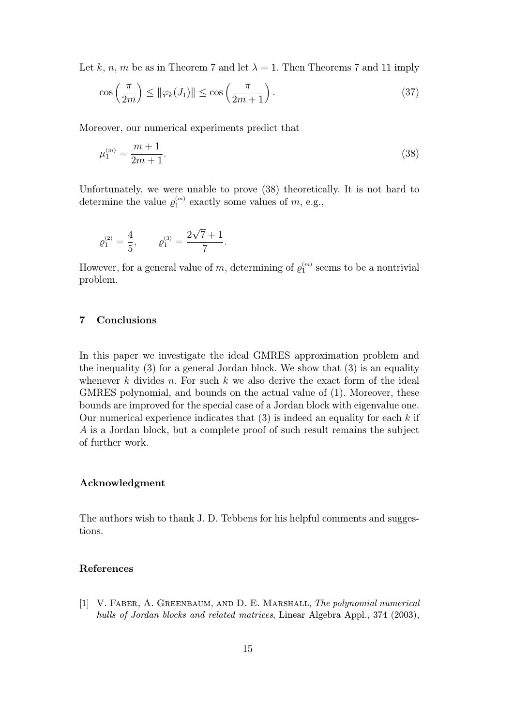Let k, n, m be as in Theorem 7 and let  $\lambda = 1$ . Then Theorems 7 and 11 imply

$$
\cos\left(\frac{\pi}{2m}\right) \le \|\varphi_k(J_1)\| \le \cos\left(\frac{\pi}{2m+1}\right). \tag{37}
$$

Moreover, our numerical experiments predict that

$$
\mu_1^{(m)} = \frac{m+1}{2m+1}.\tag{38}
$$

Unfortunately, we were unable to prove (38) theoretically. It is not hard to determine the value  $\varrho_1^{(m)}$  exactly some values of m, e.g.,

$$
\varrho_1^{(2)} = \frac{4}{5}, \qquad \varrho_1^{(3)} = \frac{2\sqrt{7}+1}{7}.
$$

However, for a general value of m, determining of  $\varrho_1^{(m)}$  seems to be a nontrivial problem.

# 7 Conclusions

In this paper we investigate the ideal GMRES approximation problem and the inequality (3) for a general Jordan block. We show that (3) is an equality whenever  $k$  divides  $n$ . For such  $k$  we also derive the exact form of the ideal GMRES polynomial, and bounds on the actual value of (1). Moreover, these bounds are improved for the special case of a Jordan block with eigenvalue one. Our numerical experience indicates that  $(3)$  is indeed an equality for each k if A is a Jordan block, but a complete proof of such result remains the subject of further work.

## Acknowledgment

The authors wish to thank J. D. Tebbens for his helpful comments and suggestions.

#### References

[1] V. FABER, A. GREENBAUM, AND D. E. MARSHALL, The polynomial numerical hulls of Jordan blocks and related matrices, Linear Algebra Appl., 374 (2003),